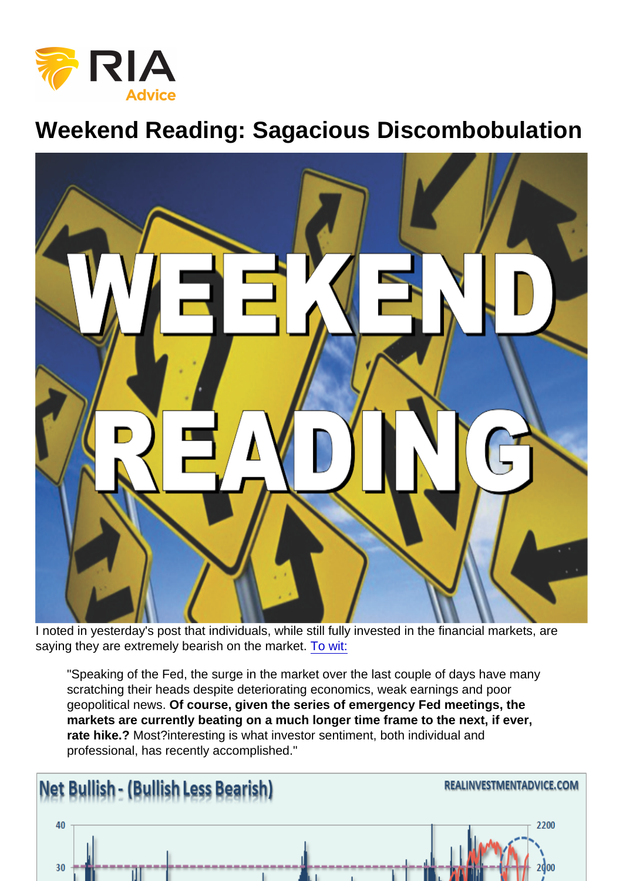Weekend Reading: Sagacious Discombobulation

I noted in yesterday's post that individuals, while still fully invested in the financial markets, are saying they are extremely bearish on the market. [To wit:](https://realinvestmentadvice.com/3-things-retail-less-valuation-end-of-the-bear/)

"Speaking of the Fed, the surge in the market over the last couple of days have many scratching their heads despite deteriorating economics, weak earnings and poor geopolitical news. Of course, given the series of emergency Fed meetings, the markets are currently beating on a much longer time frame to the next, if ever, rate hike.? Most?interesting is what investor sentiment, both individual and professional, has recently accomplished."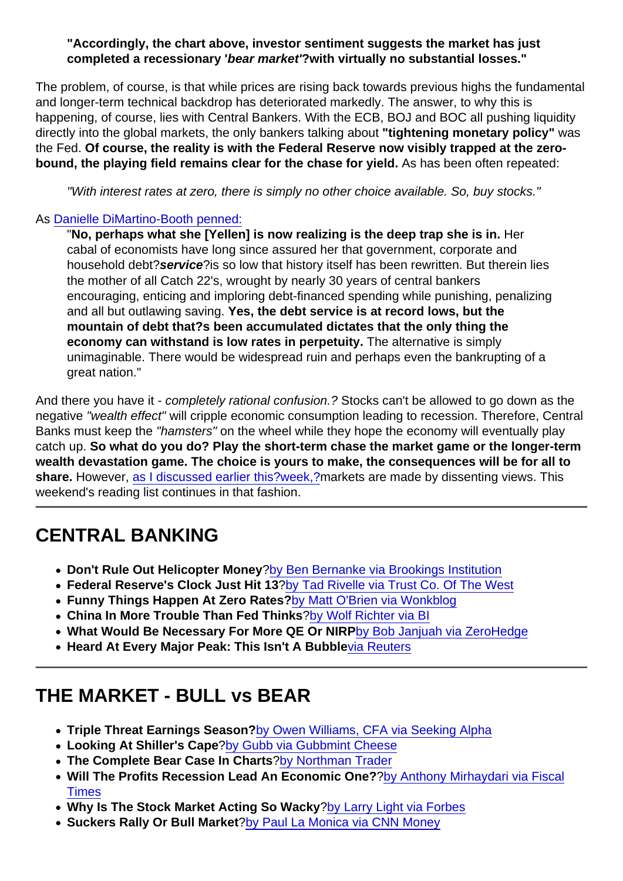"Accordingly, the chart above, investor sentiment suggests the market has just completed a recessionary ' bear market' ?with virtually no substantial losses."

The problem, of course, is that while prices are rising back towards previous highs the fundamental and longer-term technical backdrop has deteriorated markedly. The answer, to why this is happening, of course, lies with Central Bankers. With the ECB, BOJ and BOC all pushing liquidity directly into the global markets, the only bankers talking about "tightening monetary policy" was the Fed. Of course, the reality is with the Federal Reserve now visibly trapped at the zerobound, the playing field remains clear for the chase for yield. As has been often repeated:

"With interest rates at zero, there is simply no other choice available. So, buy stocks."

### As [Danielle DiMartino-Booth penned:](http://dimartinobooth.com/fed-bankrupted-nation/)

"No, perhaps what she [Yellen] is now realizing is the deep trap she is in. Her cabal of economists have long since assured her that government, corporate and household debt?service ?is so low that history itself has been rewritten. But therein lies the mother of all Catch 22's, wrought by nearly 30 years of central bankers encouraging, enticing and imploring debt-financed spending while punishing, penalizing and all but outlawing saving. Yes, the debt service is at record lows, but the mountain of debt that?s been accumulated dictates that the only thing the economy can withstand is low rates in perpetuity. The alternative is simply unimaginable. There would be widespread ruin and perhaps even the bankrupting of a great nation."

And there you have it - completely rational confusion.? Stocks can't be allowed to go down as the negative "wealth effect" will cripple economic consumption leading to recession. Therefore, Central Banks must keep the "hamsters" on the wheel while they hope the economy will eventually play catch up. So what do you do? Play the short-term chase the market game or the longer-term wealth devastation game. The choice is yours to make, the consequences will be for all to share. However, [as I discussed earlier this?week,](https://realinvestmentadvice.com/technically-speaking-bull-versus-bear-case/)[?](https://realinvestmentadvice.com/technically-speaking-the-month-of-april/)markets are made by dissenting views. This weekend's reading list continues in that fashion.

## CENTRAL BANKING

- Don't Rule Out Helicopter Money ?[by Ben Bernanke via Brookings Institution](http://www.brookings.edu/blogs/ben-bernanke/posts/2016/04/11-helicopter-money#.VwuvasWz3_w.twitter)
- Federal Reserve's Clock Just Hit 13 ?[by Tad Rivelle via Trust Co. Of The West](https://www.tcw.com/Insights/Economics/04-08-16_Trading_Secrets.aspx)
- Funny Things Happen At Zero Rates? [by Matt O'Brien via Wonkblog](https://www.washingtonpost.com/news/wonk/wp/2016/04/13/the-crazy-idea-that-higher-oil-prices-might-be-good-for-the-economy-right-now/)
- China In More Trouble Than Fed Thinks [?by Wolf Richter via BI](http://www.businessinsider.com/china-rail-freight-volumes-are-troubling-2016-4)
- What Would Be Necessary For More QE Or NIRP [by Bob Janjuah via ZeroHedge](http://www.zerohedge.com/news/2016-04-07/nomuras-bob-bear-janjuah-question-what-would-be-necessary-fed-do-qe-or-nirp)
- Heard At Every Major Peak: This Isn't A Bubble [via Reuters](http://www.businessinsider.com/r-feds-yellen-says-us-still-on-track-for-more-rate-hikes-2016-4)

## THE MARKET - BULL vs BEAR

- Triple Threat Earnings Season? [by Owen Williams, CFA via Seeking Alpha](http://seekingalpha.com/article/3964380-triple-threat-earnings-season)
- Looking At Shiller's Cape ?[by Gubb via Gubbmint Cheese](http://gubbmintcheese.blogspot.ca/2016/01/looking-at-shillers-cape.html?m=1)
- The Complete Bear Case In Charts [?by Northman Trader](https://northmantrader.com/2016/04/12/feeding-the-monster/)
- Will The Profits Recession Lead An Economic One? ?[by Anthony Mirhaydari via Fiscal](http://www.thefiscaltimes.com/Columns/2016/04/11/Earnings-Season-Will-Profits-Recession-Lead-Economic-One) [Times](http://www.thefiscaltimes.com/Columns/2016/04/11/Earnings-Season-Will-Profits-Recession-Lead-Economic-One)
- Why Is The Stock Market Acting So Wacky ?[by Larry Light via Forbes](http://www.forbes.com/sites/lawrencelight/2016/04/09/why-is-the-stock-market-so-wacky-fear/#349cdad58b6d)
- Suckers Rally Or Bull Market ?[by Paul La Monica via CNN Money](http://money.cnn.com/2016/04/11/investing/market-rally-bear-bull-stocks/index.html?iid=hp-stack-dom)